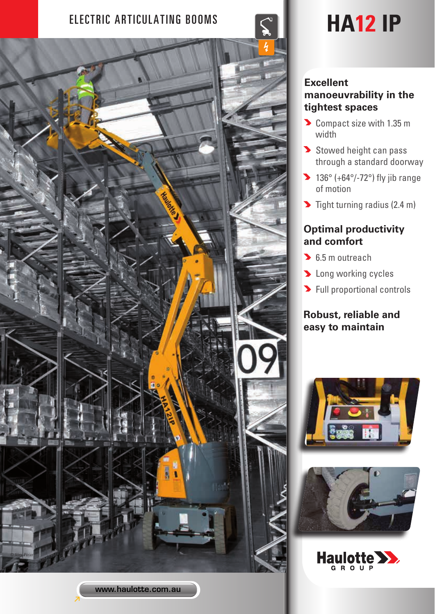# ELECTRIC ARTICULATING BOOMS  $\leq$  **HA12 IP**



### **Excellent manoeuvrability in the tightest spaces**

- Compact size with 1.35 m width
- Stowed height can pass through a standard doorway
- $\blacktriangleright$  136° (+64°/-72°) fly jib range of motion
- $\blacktriangleright$  Tight turning radius (2.4 m)

## **Optimal productivity and comfort**

- **6.5 m outreach**
- **D** Long working cycles
- **>** Full proportional controls

# **Robust, reliable and easy to maintain**

![](_page_0_Picture_13.jpeg)

![](_page_0_Picture_14.jpeg)

![](_page_0_Picture_15.jpeg)